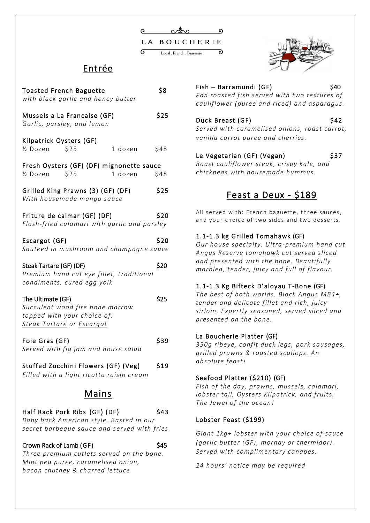### Entrée

| <b>Toasted French Baguette</b><br>with black garlic and honey butter                                                     |  |         |      |  |
|--------------------------------------------------------------------------------------------------------------------------|--|---------|------|--|
| Mussels a La Francaise (GF)<br>Garlic, parsley, and lemon                                                                |  |         |      |  |
| Kilpatrick Oysters (GF)<br>\$25<br>1/2 Dozen                                                                             |  | 1 dozen | \$48 |  |
| Fresh Oysters (GF) (DF) mignonette sauce<br>1/ <sub>2</sub> Dozen \$25                                                   |  | 1 dozen | \$48 |  |
| Grilled King Prawns (3) (GF) (DF)<br>With housemade mango sauce                                                          |  |         |      |  |
| Friture de calmar (GF) (DF)<br>Flash-fried calamari with garlic and parsley                                              |  |         | \$20 |  |
| Escargot (GF)<br>Sauteed in mushroom and champagne sauce                                                                 |  |         | \$20 |  |
| Steak Tartare (GF) (DF)<br>Premium hand cut eye fillet, traditional<br>condiments, cured egg yolk                        |  |         | \$20 |  |
| The Ultimate (GF)<br>Succulent wood fire bone marrow<br>topped with your choice of:<br>Steak Tartare or Escargot         |  |         | \$25 |  |
| Foie Gras (GF)<br>Served with fig jam and house salad                                                                    |  |         | \$39 |  |
| Stuffed Zucchini Flowers (GF) (Veg)<br>Filled with a light ricotta raisin cream                                          |  |         | \$19 |  |
| <u>Mains</u>                                                                                                             |  |         |      |  |
| Half Rack Pork Ribs (GF) (DF)<br>Baby back American style. Basted in our<br>secret barbeque sauce and served with fries. |  |         | \$43 |  |

Crown Rack of Lamb (GF) 645

*Three premium cutlets served on the bone. Mint pea puree, caramelised onion, bacon chutney & charred lettuce* 



Fish – Barramundi (GF)  $$40$ *Pan roasted fish served with two textures of cauliflower (puree and riced) and asparagus.*

#### Duck Breast (GF) \$42

*Served with caramelised onions, roast carrot, vanilla carrot puree and cherries.*

### Le Vegetarian (GF) (Vegan) \$37

*Roast cauliflower steak, crispy kale, and chickpeas with housemade hummus.*

### Feast a Deux - \$189

All served with: French baguette, three sauces, and your choice of two sides and two desserts.

#### 1.1-1.3 kg Grilled Tomahawk (GF)

*Our house specialty. Ultra -premium hand cut Angus Reserve tomahawk cut served sliced and presented with the bone. Beautifully marbled, tender, juicy and full of flavour.* 

#### 1.1-1.3 Kg Bifteck D'aloyau T-Bone (GF)

*The best of both worlds. Black Angus MB4+, tender and delicate fillet and rich, juicy sirloin. Expertly seasoned, served sliced and presented on the bone.*

#### La Boucherie Platter (GF)

*350g ribeye, confit duck legs, pork sausages, grilled prawns & roasted scallops. An absolute feast!*

#### Seafood Platter (\$210) (GF)

*Fish of the day, prawns, mussels, calamari, lobster tail, Oysters Kilpatrick, and fruits. The Jewel of the ocean!*

#### Lobster Feast (\$199)

*Giant 1kg+ lobster with your choice of sauce (garlic butter (GF), mornay or thermidor). Served with complimentary canapes.*

*24 hours' notice may be required*